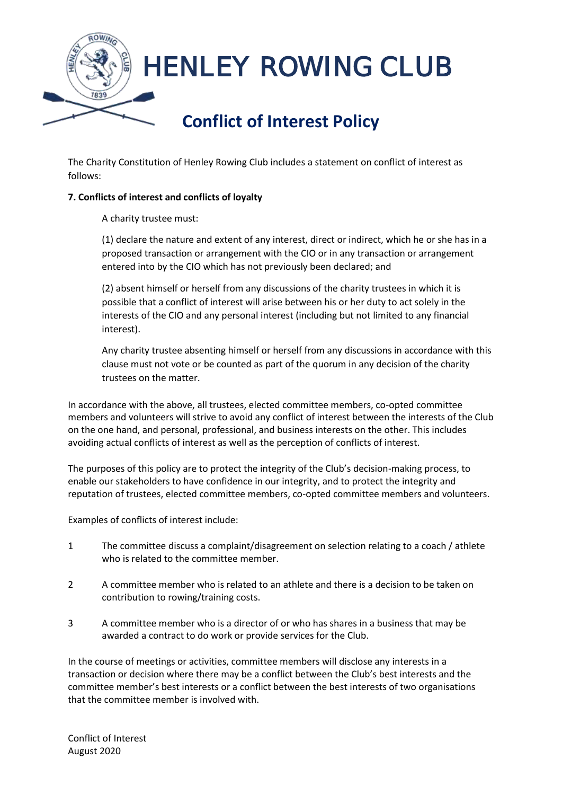

The Charity Constitution of Henley Rowing Club includes a statement on conflict of interest as follows:

## **7. Conflicts of interest and conflicts of loyalty**

A charity trustee must:

(1) declare the nature and extent of any interest, direct or indirect, which he or she has in a proposed transaction or arrangement with the CIO or in any transaction or arrangement entered into by the CIO which has not previously been declared; and

(2) absent himself or herself from any discussions of the charity trustees in which it is possible that a conflict of interest will arise between his or her duty to act solely in the interests of the CIO and any personal interest (including but not limited to any financial interest).

Any charity trustee absenting himself or herself from any discussions in accordance with this clause must not vote or be counted as part of the quorum in any decision of the charity trustees on the matter.

In accordance with the above, all trustees, elected committee members, co-opted committee members and volunteers will strive to avoid any conflict of interest between the interests of the Club on the one hand, and personal, professional, and business interests on the other. This includes avoiding actual conflicts of interest as well as the perception of conflicts of interest.

The purposes of this policy are to protect the integrity of the Club's decision-making process, to enable our stakeholders to have confidence in our integrity, and to protect the integrity and reputation of trustees, elected committee members, co-opted committee members and volunteers.

Examples of conflicts of interest include:

- 1 The committee discuss a complaint/disagreement on selection relating to a coach / athlete who is related to the committee member.
- 2 A committee member who is related to an athlete and there is a decision to be taken on contribution to rowing/training costs.
- 3 A committee member who is a director of or who has shares in a business that may be awarded a contract to do work or provide services for the Club.

In the course of meetings or activities, committee members will disclose any interests in a transaction or decision where there may be a conflict between the Club's best interests and the committee member's best interests or a conflict between the best interests of two organisations that the committee member is involved with.